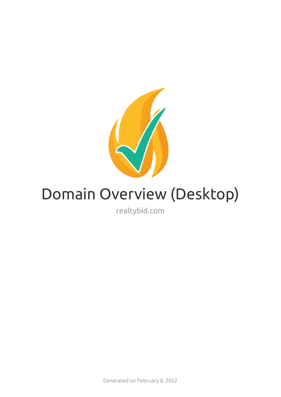

# Domain Overview (Desktop)

realtybid.com

Generated on February 8, 2022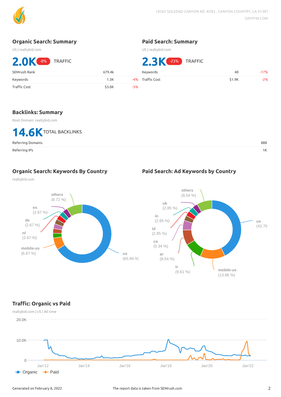

#### **Organic Search: Summary**

US | realtybid.com

#### **Paid Search: Summary**

US | realtybid.com

| 2.0 <sup>K -8%</sup> TRAFFIC |        |       | <b>2.3 EX</b> (-23%) TRAFFIC |        |        |
|------------------------------|--------|-------|------------------------------|--------|--------|
| SEMrush Rank                 | 679.4k |       | <b>Kevwords</b>              | 40     | $-17%$ |
| Keywords                     | 1.3K   |       | -4% Traffic Cost             | \$1.9K | $-2%$  |
| Traffic Cost                 | \$3.0K | $-5%$ |                              |        |        |

#### **Backlinks: Summary**

Root Domain: realtybid.com



#### Referring Domains 888

Referring IPs 1K

**Organic Search: Keywords By Country**

#### **Paid Search: Ad Keywords by Country**

realtybid.com





# **Trac: Organic vs Paid**

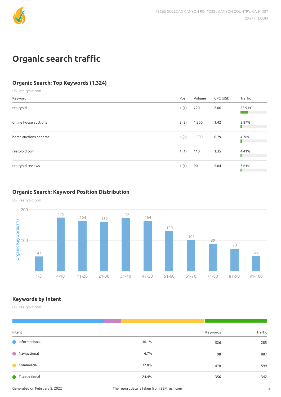

# **Organic** search traffic

# **Organic Search: Top Keywords (1,324)**

US | realtybid.com

| Keyword               | Pos  | Volume | CPC (USD) | Traffic                                                                                                                        |
|-----------------------|------|--------|-----------|--------------------------------------------------------------------------------------------------------------------------------|
| realtybid             | 1(1) | 720    | 2.06      | 28.91%<br><b>Contract Contract Contract Contract Contract Contract Contract Contract Contract Contract Contract Contract C</b> |
| online house auctions | 3(3) | 1,300  | 1.42      | 5.87%                                                                                                                          |
| home auctions near me | 6(6) | 1,900  | 0.79      | 4.76%<br>П                                                                                                                     |
| realtybid com         | 1(1) | 110    | 1.35      | 4.41%                                                                                                                          |
| realtybid reviews     | 1(1) | 90     | 5.04      | 3.61%                                                                                                                          |

## **Organic Search: Keyword Position Distribution**

US | realtybid.com



# **Keywords by Intent**

US | realtybid.com

| Intent                 |       | Keywords | Traffic |
|------------------------|-------|----------|---------|
| <b>O</b> Informational | 36.1% | 526      | 285     |
| Navigational           | 6.7%  | 98       | 887     |
| Commercial             | 32.8% | 478      | 599     |
| <b>Transactional</b>   | 24.4% | 356      | 342     |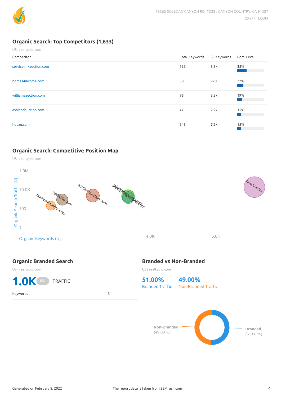

### **Organic Search: Top Competitors (1,633)**

| US   realtybid.com     |               |             |            |
|------------------------|---------------|-------------|------------|
| Competitor             | Com. Keywords | SE Keywords | Com. Level |
| servicelinkauction.com | 166           | 3.3k        | 35%        |
| homes4income.com       | 50            | 978         | 22%        |
| williamsauction.com    | 96            | 3.3k        | 19%        |
| ashlandauction.com     | 47            | 2.2k        | 15%        |
| hubzu.com              | 243           | 7.2k        | 15%        |

#### **Organic Search: Competitive Position Map**





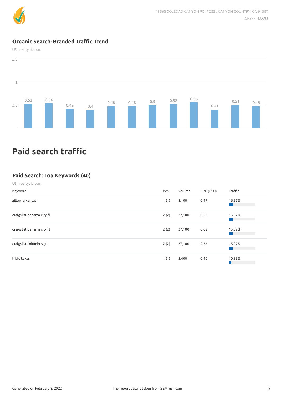

#### **Organic Search: Branded Trac Trend**

US | realtybid.com



# **Paid search traffic**

#### **Paid Search: Top Keywords (40)**

#### US | realtybid.com

| Keyword                   | Pos  | Volume | CPC (USD) | Traffic |
|---------------------------|------|--------|-----------|---------|
| zillow arkansas           | 1(1) | 8,100  | 0.47      | 16.27%  |
| craigslist panama city fl | 2(2) | 27,100 | 0.53      | 15.07%  |
| craigslist panama city fl | 2(2) | 27,100 | 0.62      | 15.07%  |
| craigslist columbus ga    | 2(2) | 27,100 | 2.26      | 15.07%  |
| hibid texas               | 1(1) | 5,400  | 0.40      | 10.83%  |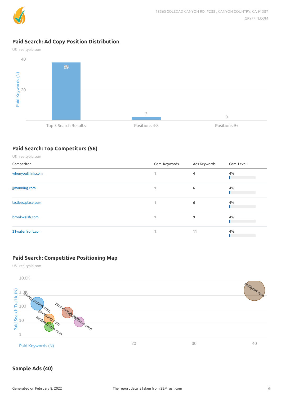

### **Paid Search: Ad Copy Position Distribution**

US | realtybid.com



## **Paid Search: Top Competitors (56)**

| US   realtybid.com |               |              |            |
|--------------------|---------------|--------------|------------|
| Competitor         | Com. Keywords | Ads Keywords | Com. Level |
| whenyouthink.com   | 1             | 4            | 4%         |
| jjmanning.com      |               | 6            | 4%         |
| lastbestplace.com  |               | 6            | 4%         |
| brookwalsh.com     |               | 9            | 4%         |
| 21waterfront.com   |               | 11           | 4%         |

#### **Paid Search: Competitive Positioning Map**

US | realtybid.com



# **Sample Ads (40)**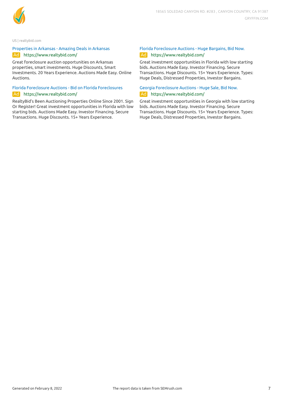

US | realtybid.com

#### [Properties](https://www.realtybid.com/auction/arkansas/) in Arkansas - Amazing Deals in Arkansas Ad https://www.realtybid.com/

Great foreclosure auction opportunities on Arkansas properties, smart investments. Huge Discounts, Smart Investments. 20 Years Experience. Auctions Made Easy. Online Auctions.

#### Florida Foreclosure Auctions - Bid on Florida [Foreclosures](https://www.realtybid.com/auction/Florida.cfm) Ad https://www.realtybid.com/

RealtyBid's Been Auctioning Properties Online Since 2001. Sign Or Register! Great investment opportunities in Florida with low starting bids. Auctions Made Easy. Investor Financing. Secure Transactions. Huge Discounts. 15+ Years Experience.

#### Florida [Foreclosure](https://www.realtybid.com/auction/florida.cfm) Auctions - Huge Bargains, Bid Now. Ad https://www.realtybid.com/

Great investment opportunities in Florida with low starting bids. Auctions Made Easy. Investor Financing. Secure Transactions. Huge Discounts. 15+ Years Experience. Types: Huge Deals, Distressed Properties, Investor Bargains.

#### Georgia [Foreclosure](https://www.realtybid.com/auction/georgia/) Auctions - Huge Sale, Bid Now. Ad https://www.realtybid.com/

Great investment opportunities in Georgia with low starting bids. Auctions Made Easy. Investor Financing. Secure Transactions. Huge Discounts. 15+ Years Experience. Types: Huge Deals, Distressed Properties, Investor Bargains.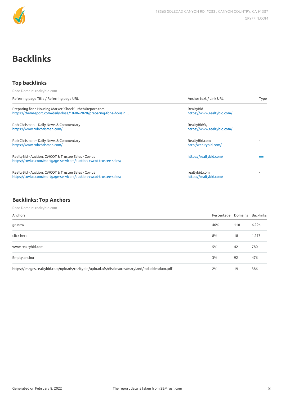

# **Backlinks**

#### **Top backlinks**

| Root Domain: realtybid.com                                                                                                      |                                           |      |
|---------------------------------------------------------------------------------------------------------------------------------|-------------------------------------------|------|
| Referring page Title / Referring page URL                                                                                       | Anchor text / Link URL                    | Type |
| Preparing for a Housing Market 'Shock' - the MReport.com<br>https://themreport.com/daily-dose/10-06-2020/preparing-for-a-housin | RealtyBid<br>https://www.realtybid.com/   |      |
| Rob Chrisman - Daily News & Commentary<br>https://www.robchrisman.com/                                                          | RealtyBid®,<br>https://www.realtybid.com/ |      |
| Rob Chrisman - Daily News & Commentary<br>https://www.robchrisman.com/                                                          | RealtyBid.com<br>http://realtybid.com/    |      |
| RealtyBid - Auction, CWCOT & Trustee Sales - Covius<br>https://covius.com/mortgage-servicers/auction-cwcot-trustee-sales/       | https://realtybid.com/                    |      |
| RealtyBid - Auction, CWCOT & Trustee Sales - Covius<br>https://covius.com/mortgage-servicers/auction-cwcot-trustee-sales/       | realtybid.com<br>https://realtybid.com/   |      |

# **Backlinks: Top Anchors**

Root Domain: realtybid.com

| Anchors                                                                                       | Percentage Domains Backlinks |     |       |
|-----------------------------------------------------------------------------------------------|------------------------------|-----|-------|
| go now                                                                                        | 40%                          | 118 | 6,296 |
| click here                                                                                    | 8%                           | 18  | 1,273 |
| www.realtybid.com                                                                             | 5%                           | 42  | 780   |
| Empty anchor                                                                                  | 3%                           | 92  | 476   |
| https://images.realtybid.com/uploads/realtybid/upload.nfs/disclosures/maryland/mdaddendum.pdf | 2%                           | 19  | 386   |